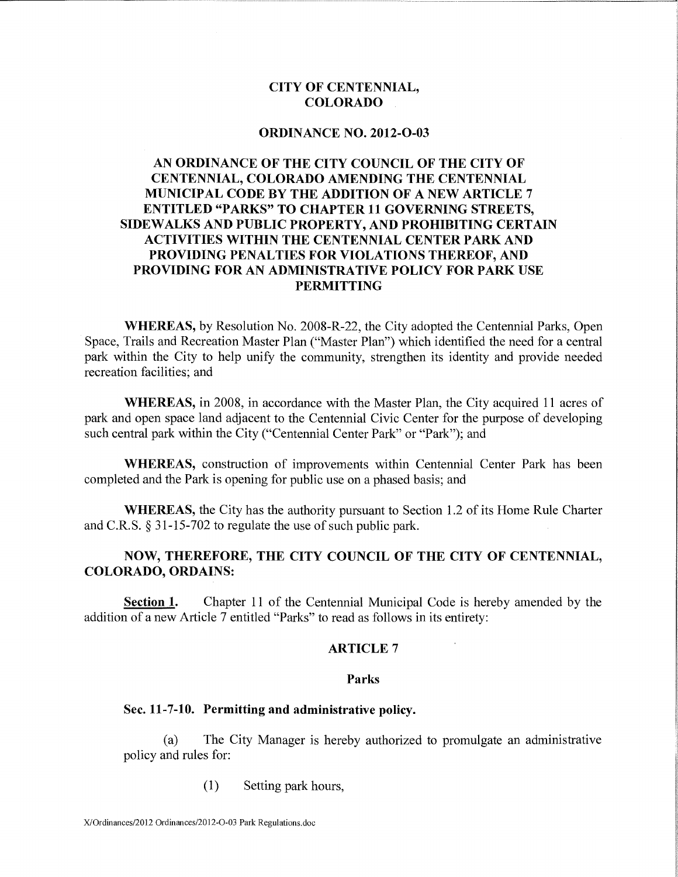## **CITY OF CENTENNIAL, COLORADO**

#### **ORDINANCE NO. 2012-0-03**

# **AN ORDINANCE OF THE CITY COUNCIL OF THE CITY OF CENTENNIAL, COLORADO AMENDING THE CENTENNIAL MUNICIPAL CODE BY THE ADDITION OF A NEW ARTICLE 7 ENTITLED "PARKS" TO CHAPTER 11 GOVERNING STREETS, SIDEWALKS AND PUBLIC PROPERTY, AND PROHIBITING CERTAIN ACTIVITIES WITHIN THE CENTENNIAL CENTER PARK AND PROVIDING PENALTIES FOR VIOLATIONS THEREOF, AND PROVIDING FOR AN ADMINISTRATIVE POLICY FOR PARK USE PERMITTING**

**WHEREAS,** by Resolution No. 2008-R-22, the City adopted the Centennial Parks, Open Space, Trails and Recreation Master Plan ("Master Plan") which identified the need for a central park within the City to help unify the community, strengthen its identity and provide needed recreation facilities; and

**WHEREAS,** in 2008, in accordance with the Master Plan, the City acquired 11 acres of park and open space land adjacent to the Centennial Civic Center for the purpose of developing such central park within the City ("Centennial Center Park" or "Park"); and

**WHEREAS,** construction of improvements within Centennial Center Park has been completed and the Park is opening for public use on a phased basis; and

**WHEREAS,** the City has the authority pursuant to Section 1.2 of its Home Rule Charter and C.R.S. § 31-15-702 to regulate the use of such public park.

# **NOW, THEREFORE, THE CITY COUNCIL OF THE CITY OF CENTENNIAL, COLORADO, ORDAINS:**

**Section 1.** Chapter 11 of the Centennial Municipal Code is hereby amended by the addition of a new Article 7 entitled "Parks" to read as follows in its entirety:

### **ARTICLE 7**

### **Parks**

### **Sec. 11-7-10. Permitting and administrative policy.**

(a) The City Manager is hereby authorized to promulgate an administrative policy and rules for:

(1) Setting park hours,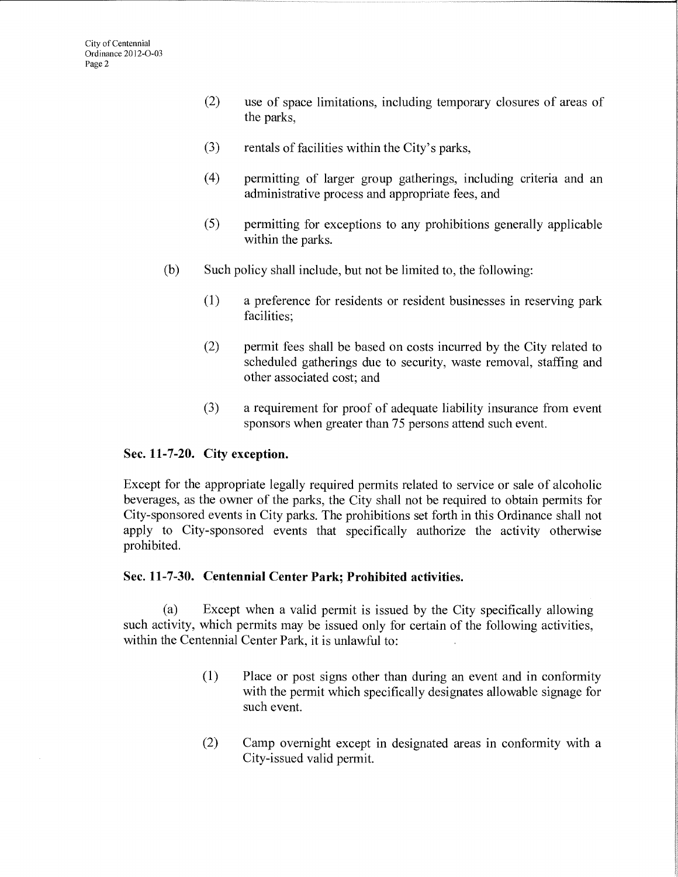- (2) use of space limitations, including temporary closures of areas of the parks,
- (3) rentals of facilities within the City's parks,
- (4) permitting of larger group gatherings, including criteria and an administrative process and appropriate fees, and
- (5) permitting for exceptions to any prohibitions generally applicable within the parks.
- (b) Such policy shall include, but not be limited to, the following:
	- (1) a preference for residents or resident businesses in reserving park facilities;
	- (2) permit fees shall be based on costs incurred by the City related to scheduled gatherings due to security, waste removal, staffing and other associated cost; and
	- (3) a requirement for proof of adequate liability insurance from event sponsors when greater than 75 persons attend such event.

## Sec. 11-7-20. City exception.

Except for the appropriate legally required permits related to service or sale of alcoholic beverages, as the owner of the parks, the City shall not be required to obtain permits for City-sponsored events in City parks. The prohibitions set forth in this Ordinance shall not apply to City-sponsored events that specifically authorize the activity otherwise prohibited.

## Sec. 11-7-30. Centennial Center Park; Prohibited activities.

(a) Except when a valid permit is issued by the City specifically allowing such activity, which permits may be issued only for certain of the following activities, within the Centennial Center Park, it is unlawful to:

- (1) Place or post signs other than during an event and in conformity with the permit which specifically designates allowable signage for such event.
- (2) Camp overnight except in designated areas in conformity with a City-issued valid permit.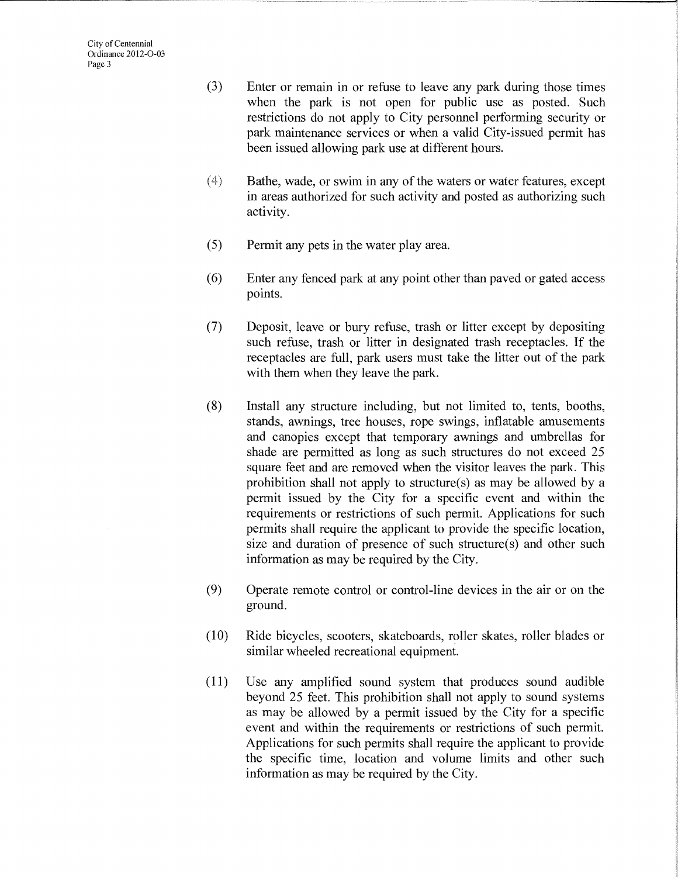- (3) Enter or remain in or refuse to leave any park during those times when the park is not open for public use as posted. Such restrictions do not apply to City personnel performing security or park maintenance services or when a valid City-issued permit has been issued allowing park use at different hours.
- (4) Bathe, wade, or swim in any of the waters or water features, except in areas authorized for such activity and posted as authorizing such activity.
- (5) Permit any pets in the water play area.
- (6) Enter any fenced park at any point other than paved or gated access points.
- (7) Deposit, leave or bury refuse, trash or litter except by depositing such refuse, trash or litter in designated trash receptacles. If the receptacles are full, park users must take the litter out of the park with them when they leave the park.
- (8) Install any structure including, but not limited to, tents, booths, stands, awnings, tree houses, rope swings, inflatable amusements and canopies except that temporary awnings and umbrellas for shade are permitted as long as such structures do not exceed 25 square feet and are removed when the visitor leaves the park. This prohibition shall not apply to structure(s) as may be allowed by a permit issued by the City for a specific event and within the requirements or restrictions of such permit. Applications for such permits shall require the applicant to provide the specific location, size and duration of presence of such structure(s) and other such information as may be required by the City.
- (9) Operate remote control or control-line devices in the air or on the ground.
- (10) Ride bicycles, scooters, skateboards, roller skates, roller blades or similar wheeled recreational equipment.
- (11) Use any amplified sound system that produces sound audible beyond 25 feet. This prohibition shall not apply to sound systems as may be allowed by a permit issued by the City for a specific event and within the requirements or restrictions of such permit. Applications for such permits shall require the applicant to provide the specific time, location and volume limits and other such information as may be required by the City.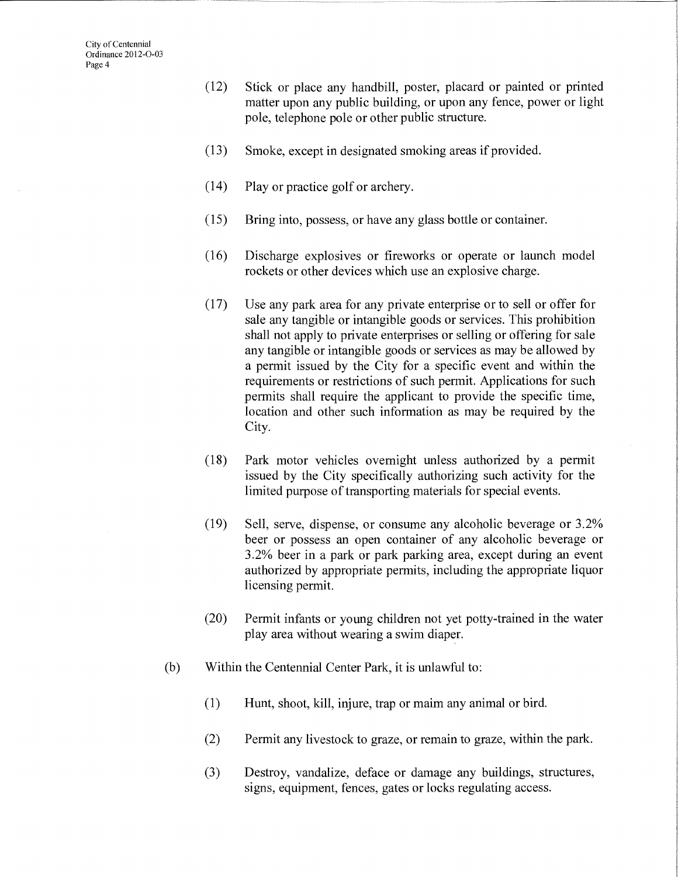- (12) Stick or place any handbill, poster, placard or painted or printed matter upon any public building, or upon any fence, power or light pole, telephone pole or other public structure.
- (13) Smoke, except in designated smoking areas if provided.
- (14) Play or practice golf or archery.
- (15) Bring into, possess, or have any glass bottle or container.
- (16) Discharge explosives or fireworks or operate or launch model rockets or other devices which use an explosive charge.
- (17) Use any park area for any private enterprise or to sell or offer for sale any tangible or intangible goods or services. This prohibition shall not apply to private enterprises or selling or offering for sale any tangible or intangible goods or services as may be allowed by a permit issued by the City for a specific event and within the requirements or restrictions of such permit. Applications for such permits shall require the applicant to provide the specific time, location and other such information as may be required by the City.
- (18) Park motor vehicles overnight unless authorized by a permit issued by the City specifically authorizing such activity for the limited purpose of transporting materials for special events.
- (19) Sell, serve, dispense, or consume any alcoholic beverage or 3.2% beer or possess an open container of any alcoholic beverage or 3.2% beer in a park or park parking area, except during an event authorized by appropriate permits, including the appropriate liquor licensing permit.
- (20) Permit infants or young children not yet potty-trained in the water play area without wearing a swim diaper.
- (b) Within the Centennial Center Park, it is unlawful to:
	- (1) Hunt, shoot, kill, injure, trap or maim any animal or bird.
	- (2) Permit any livestock to graze, or remain to graze, within the park.
	- (3) Destroy, vandalize, deface or damage any buildings, structures, signs, equipment, fences, gates or locks regulating access.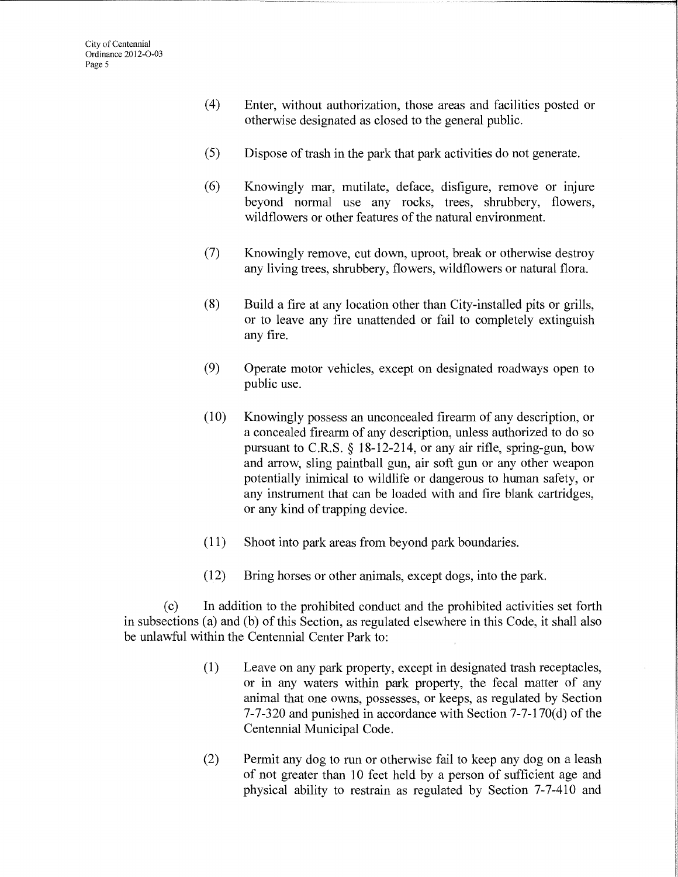- (4) Enter, without authorization, those areas and facilities posted or otherwise designated as closed to the general public.
- (5) Dispose of trash in the park that park activities do not generate.
- (6) Knowingly mar, mutilate, deface, disfigure, remove or injure beyond normal use any rocks, trees, shrubbery, flowers, wildflowers or other features of the natural environment.
- (7) Knowingly remove, cut down, uproot, break or otherwise destroy any living trees, shrubbery, flowers, wildflowers or natural flora.
- (8) Build a fire at any location other than City-installed pits or grills, or to leave any fire unattended or fail to completely extinguish any fire.
- (9) Operate motor vehicles, except on designated roadways open to public use.
- (10) Knowingly possess an unconcealed firearm of any description, or a concealed firearm of any description, unless authorized to do so pursuant to C.R.S. § 18-12-214, or any air rifle, spring-gun, bow and arrow, sling paintball gun, air soft gun or any other weapon potentially inimical to wildlife or dangerous to human safety, or any instrument that can be loaded with and fire blank cartridges, or any kind of trapping device.
- (11) Shoot into park areas from beyond park boundaries.
- (12) Bring horses or other animals, except dogs, into the park.

(c) In addition to the prohibited conduct and the prohibited activities set forth in subsections (a) and (b) of this Section, as regulated elsewhere in this Code, it shall also be unlawful within the Centennial Center Park to:

- (1) Leave on any park property, except in designated trash receptacles, or in any waters within park property, the fecal matter of any animal that one owns, possesses, or keeps, as regulated by Section 7-7-320 and punished in accordance with Section 7-7-170(d) of the Centennial Municipal Code.
- (2) Permit any dog to run or otherwise fail to keep any dog on a leash of not greater than 10 feet held by a person of sufficient age and physical ability to restrain as regulated by Section 7-7-410 and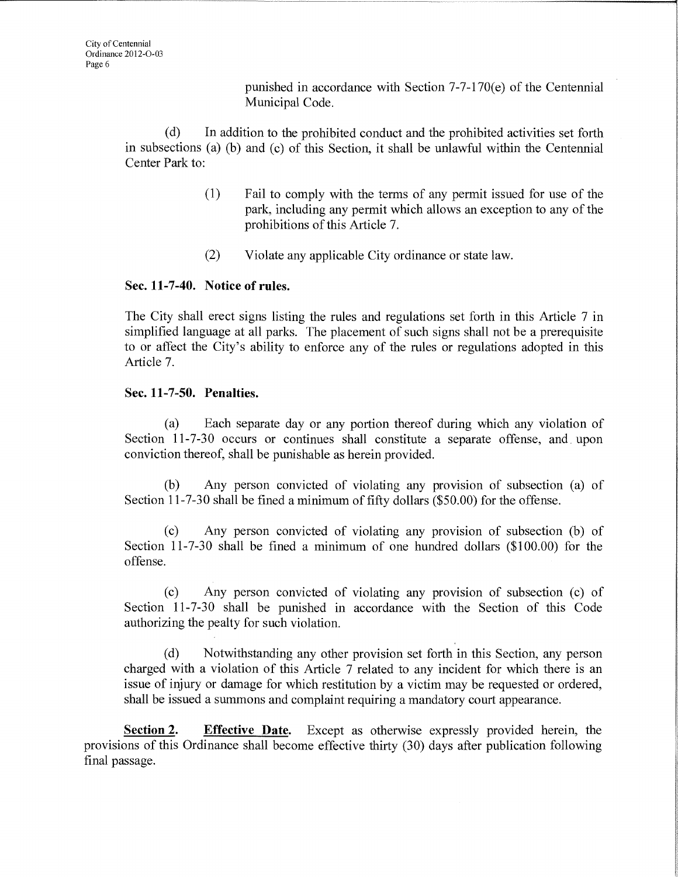punished in accordance with Section 7-7-170(e) of the Centennial Municipal Code.

(d) In addition to the prohibited conduct and the prohibited activities set forth in subsections (a) (b) and (c) of this Section, it shall be unlawful within the Centennial Center Park to:

- (1) Fail to comply with the terms of any permit issued for use of the park, including any permit which allows an exception to any of the prohibitions of this Article 7.
- (2) Violate any applicable City ordinance or state law.

# **Sec. 11-7-40. Notice of rules.**

The City shall erect signs listing the rules and regulations set forth in this Article 7 in simplified language at all parks. The placement of such signs shall not be a prerequisite to or affect the City's ability to enforce any of the rules or regulations adopted in this Article 7.

# **Sec. 11-7-50. Penalties.**

(a) Each separate day or any portion thereof during which any violation of Section 11-7-30 occurs or continues shall constitute a separate offense, and upon conviction thereof, shall be punishable as herein provided.

(b) Any person convicted of violating any provision of subsection (a) of Section 11-7-30 shall be fined a minimum of fifty dollars (\$50.00) for the offense.

(c) Any person convicted of violating any provision of subsection (b) of Section 11-7-30 shall be fined a minimum of one hundred dollars (\$100.00) for the offense.

(c) Any person convicted of violating any provision of subsection (c) of Section 11-7-30 shall be punished in accordance with the Section of this Code authorizing the pealty for such violation.

(d) Notwithstanding any other provision set forth in this Section, any person charged with a violation of this Article 7 related to any incident for which there is an issue of injury or damage for which restitution by a victim may be requested or ordered, shall be issued a summons and complaint requiring a mandatory court appearance.

**Section 2.** Effective Date. Except as otherwise expressly provided herein, the provisions of this Ordinance shall become effective thirty (30) days after publication following final passage.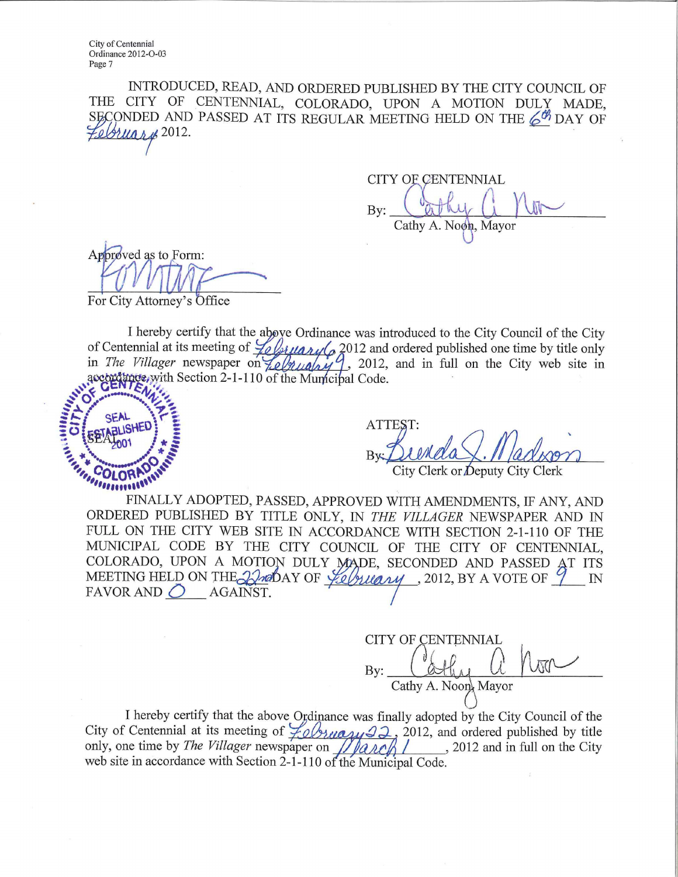City of Centennial Ordinance 2012-0-03 Page 7

INTRODUCED, READ, AND ORDERED PUBLISHED BY THE CITY COUNCIL OF THE CITY OF CENTENNIAL, COLORADO, UPON A MOTION DULY MADE, SECONDED AND PASSED AT ITS REGULAR MEETING HELD ON THE  $\&mathcal{O}(\mathcal{B})$  DAY OF *Eektahji* 2012.

CITY OE CENTENNIAL By: Cathy A. Noon, Mayor

Approved as to Form: **;r4** it071 *lriA•* 

For City Attorney's

I hereby certify that the above Ordinance was introduced to the City Council of the City of Centennial at its meeting of  $\frac{1}{2} \frac{1}{2} \frac{1}{2}$  (a) 2012 and ordered published one time by title only in *The Villager* newspaper on  $\frac{1}{2} \frac{1}{2}$ , 2012, and in full on the City web site in according e, with Section 2-1-110 of the Municipal Code.



ATTEST:

City Clerk or **Deputy City Clerk** 

**FINALLY ADOPTED, PASSED, APPROVED WITH** AMENDMENTS, IF ANY, AND ORDERED PUBLISHED BY **TITLE ONLY, IN** *THE VILLAGER* NEWSPAPER AND IN FULL ON THE CITY WEB **SITE IN ACCORDANCE** WITH SECTION 2-1-110 OF THE MUNICIPAL CODE **BY THE CITY COUNCIL OF THE** CITY OF CENTENNIAL, COLORADO, UPON A MOTION DULY MADE, SECONDED AND PASSED AT ITS MEETING HELD ON THE 22 of DAY OF *Yelniary*, 2012, BY A VOTE OF  $\frac{9}{2}$  IN FAVOR AND  $\bigcirc$ 

**CITY OF CENTENNIAL**  *r*  **By:**  Cathy A. Noon, Mayor

I hereby certify that the above Ordinance was finally adopted by the City Council of the City of Centennial at its meeting of *Lobrangue* 2, 2012, and ordered published by title only, one time by *The Villager* newspaper on **Algebrary**, 2012 and in full on the City web site in accordance with Section 2-1-110 of the Municipal Code.